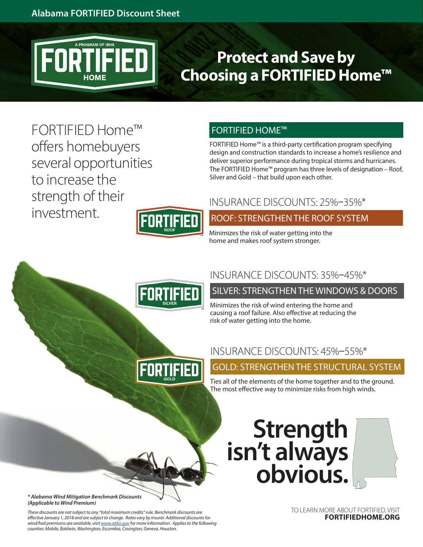

# **Protect and Save by Choosing a FORTIFIED Home™**

FORTIFIED Home™ offers homebuyers several opportunities to increase the strength of their investment.

FORTIFIED HOME™

FORTIFIED Home™ is a third-party certification program specifying design and construction standards to increase a home's resilience and deliver superior performance during tropical storms and hurricanes. The FORTIFIED Home™ program has three levels of designation – Roof, Silver and Gold – that build upon each other.

### INSURANCE DISCOUNTS: 25%–35%\*

ROOF: STRENGTHEN THE ROOF SYSTEM

Minimizes the risk of water getting into the home and makes roof system stronger.



**FORTIFIED** 

## INSURANCE DISCOUNTS: 35%–45%\*

SILVER: STRENGTHEN THE WINDOWS & DOORS

Minimizes the risk of wind entering the home and causing a roof failure. Also effective at reducing the risk of water getting into the home.

### INSURANCE DISCOUNTS: 45%–55%\*

# GOLD: STRENGTHEN THE STRUCTURAL SYSTEM

Ties all of the elements of the home together and to the ground. The most effective way to minimize risks from high winds.

# **Strength isn't always obvious.**

TO LEARN MORE ABOUT FORTIFIED, VISIT **FORTIFIEDHOME.ORG**

*\* Alabama Wind Mitigation Benchmark Discounts (Applicable to Wind Premium)*

*These discounts are not subject to any "total maximum credits" rule. Benchmark discounts are effective January 1, 2018 and are subject to change. Rates vary by insurer. Additional discounts for wind/hail premiums are available, visit [www.aldoi.gov](http://www.aldoi.gov) for more information. Applies to the following counties: Mobile, Baldwin, Washington, Escambia, Covington, Geneva, Houston.*